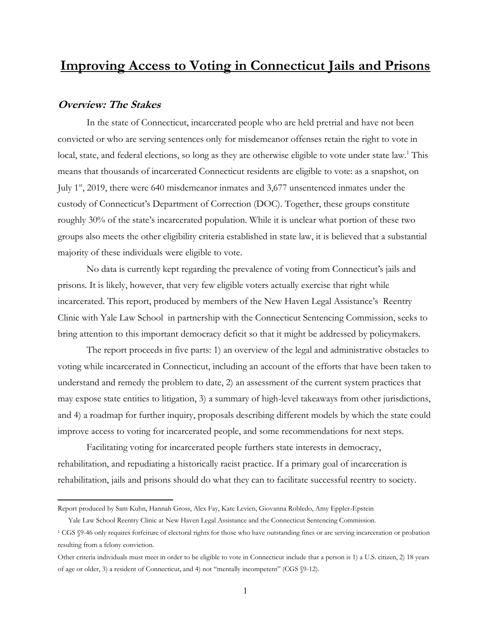# **Improving Access to Voting in Connecticut Jails and Prisons**

# **Overview: The Stakes**

In the state of Connecticut, incarcerated people who are held pretrial and have not been convicted or who are serving sentences only for misdemeanor offenses retain the right to vote in local, state, and federal elections, so long as they are otherwise eligible to vote under state law.<sup>1</sup> This means that thousands of incarcerated Connecticut residents are eligible to vote: as a snapshot, on July 1st, 2019, there were 640 misdemeanor inmates and 3,677 unsentenced inmates under the custody of Connecticut's Department of Correction (DOC). Together, these groups constitute roughly 30% of the state's incarcerated population. While it is unclear what portion of these two groups also meets the other eligibility criteria established in state law, it is believed that a substantial majority of these individuals were eligible to vote.

No data is currently kept regarding the prevalence of voting from Connecticut's jails and prisons. It is likely, however, that very few eligible voters actually exercise that right while incarcerated. This report, produced by members of the New Haven Legal Assistance's Reentry Clinic with Yale Law School in partnership with the Connecticut Sentencing Commission, seeks to bring attention to this important democracy deficit so that it might be addressed by policymakers.

The report proceeds in five parts: 1) an overview of the legal and administrative obstacles to voting while incarcerated in Connecticut, including an account of the efforts that have been taken to understand and remedy the problem to date, 2) an assessment of the current system practices that may expose state entities to litigation, 3) a summary of high-level takeaways from other jurisdictions, and 4) a roadmap for further inquiry, proposals describing different models by which the state could improve access to voting for incarcerated people, and some recommendations for next steps.

Facilitating voting for incarcerated people furthers state interests in democracy, rehabilitation, and repudiating a historically racist practice. If a primary goal of incarceration is rehabilitation, jails and prisons should do what they can to facilitate successful reentry to society.

Report produced by Sam Kuhn, Hannah Gross, Alex Fay, Kate Levien, Giovanna Robledo, Amy Eppler-Epstein,

Yale Law School Reentry Clinic at New Haven Legal Assistance and the Connecticut Sentencing Commission.

<sup>1</sup> CGS §9-46 only requires forfeiture of electoral rights for those who have outstanding fines or are serving incarceration or probation resulting from a felony conviction.

Other criteria individuals must meet in order to be eligible to vote in Connecticut include that a person is 1) a U.S. citizen, 2) 18 years of age or older, 3) a resident of Connecticut, and 4) not "mentally incompetent" (CGS  $\S$ 9-12).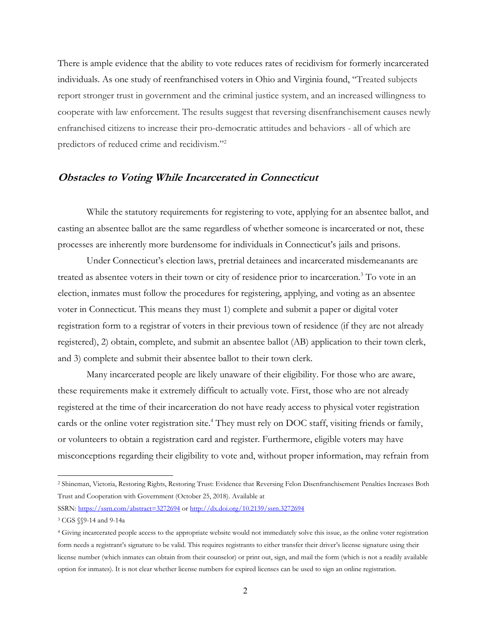There is ample evidence that the ability to vote reduces rates of recidivism for formerly incarcerated individuals. As one study of reenfranchised voters in Ohio and Virginia found, "Treated subjects report stronger trust in government and the criminal justice system, and an increased willingness to cooperate with law enforcement. The results suggest that reversing disenfranchisement causes newly enfranchised citizens to increase their pro-democratic attitudes and behaviors - all of which are predictors of reduced crime and recidivism."<sup>2</sup>

# **Obstacles to Voting While Incarcerated in Connecticut**

While the statutory requirements for registering to vote, applying for an absentee ballot, and casting an absentee ballot are the same regardless of whether someone is incarcerated or not, these processes are inherently more burdensome for individuals in Connecticut's jails and prisons.

Under Connecticut's election laws, pretrial detainees and incarcerated misdemeanants are treated as absentee voters in their town or city of residence prior to incarceration.3 To vote in an election, inmates must follow the procedures for registering, applying, and voting as an absentee voter in Connecticut. This means they must 1) complete and submit a paper or digital voter registration form to a registrar of voters in their previous town of residence (if they are not already registered), 2) obtain, complete, and submit an absentee ballot (AB) application to their town clerk, and 3) complete and submit their absentee ballot to their town clerk.

Many incarcerated people are likely unaware of their eligibility. For those who are aware, these requirements make it extremely difficult to actually vote. First, those who are not already registered at the time of their incarceration do not have ready access to physical voter registration cards or the online voter registration site.<sup>4</sup> They must rely on DOC staff, visiting friends or family, or volunteers to obtain a registration card and register. Furthermore, eligible voters may have misconceptions regarding their eligibility to vote and, without proper information, may refrain from

SSRN: <https://ssrn.com/abstract=3272694> or [http://dx.doi.org/10.2139/ssrn.3272694](https://dx.doi.org/10.2139/ssrn.3272694)

<sup>2</sup> Shineman, Victoria, Restoring Rights, Restoring Trust: Evidence that Reversing Felon Disenfranchisement Penalties Increases Both Trust and Cooperation with Government (October 25, 2018). Available at

<sup>3</sup> CGS §§9-14 and 9-14a

<sup>4</sup> Giving incarcerated people access to the appropriate website would not immediately solve this issue, as the online voter registration form needs a registrant's signature to be valid. This requires registrants to either transfer their driver's license signature using their license number (which inmates can obtain from their counselor) or print out, sign, and mail the form (which is not a readily available option for inmates). It is not clear whether license numbers for expired licenses can be used to sign an online registration.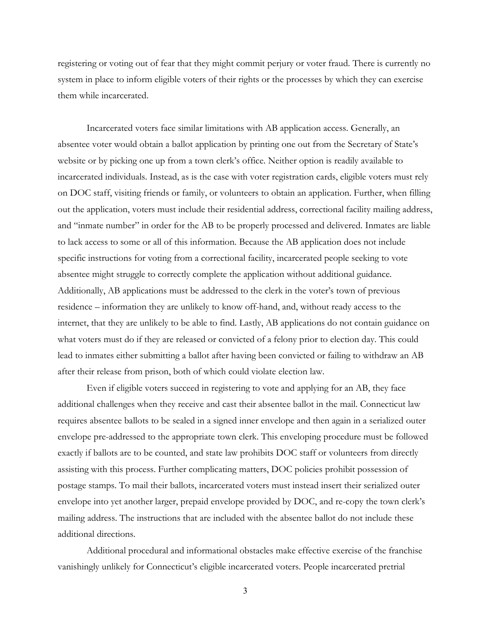registering or voting out of fear that they might commit perjury or voter fraud. There is currently no system in place to inform eligible voters of their rights or the processes by which they can exercise them while incarcerated.

Incarcerated voters face similar limitations with AB application access. Generally, an absentee voter would obtain a ballot application by printing one out from the Secretary of State's website or by picking one up from a town clerk's office. Neither option is readily available to incarcerated individuals. Instead, as is the case with voter registration cards, eligible voters must rely on DOC staff, visiting friends or family, or volunteers to obtain an application. Further, when filling out the application, voters must include their residential address, correctional facility mailing address, and "inmate number" in order for the AB to be properly processed and delivered. Inmates are liable to lack access to some or all of this information. Because the AB application does not include specific instructions for voting from a correctional facility, incarcerated people seeking to vote absentee might struggle to correctly complete the application without additional guidance. Additionally, AB applications must be addressed to the clerk in the voter's town of previous residence – information they are unlikely to know off-hand, and, without ready access to the internet, that they are unlikely to be able to find. Lastly, AB applications do not contain guidance on what voters must do if they are released or convicted of a felony prior to election day. This could lead to inmates either submitting a ballot after having been convicted or failing to withdraw an AB after their release from prison, both of which could violate election law.

Even if eligible voters succeed in registering to vote and applying for an AB, they face additional challenges when they receive and cast their absentee ballot in the mail. Connecticut law requires absentee ballots to be sealed in a signed inner envelope and then again in a serialized outer envelope pre-addressed to the appropriate town clerk. This enveloping procedure must be followed exactly if ballots are to be counted, and state law prohibits DOC staff or volunteers from directly assisting with this process. Further complicating matters, DOC policies prohibit possession of postage stamps. To mail their ballots, incarcerated voters must instead insert their serialized outer envelope into yet another larger, prepaid envelope provided by DOC, and re-copy the town clerk's mailing address. The instructions that are included with the absentee ballot do not include these additional directions.

Additional procedural and informational obstacles make effective exercise of the franchise vanishingly unlikely for Connecticut's eligible incarcerated voters. People incarcerated pretrial

3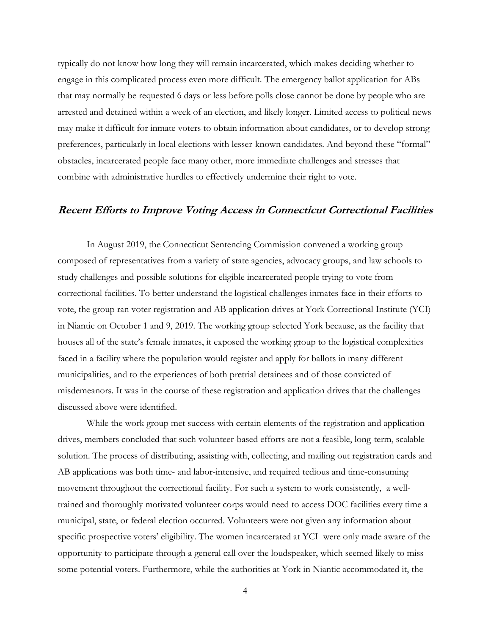typically do not know how long they will remain incarcerated, which makes deciding whether to engage in this complicated process even more difficult. The emergency ballot application for ABs that may normally be requested 6 days or less before polls close cannot be done by people who are arrested and detained within a week of an election, and likely longer. Limited access to political news may make it difficult for inmate voters to obtain information about candidates, or to develop strong preferences, particularly in local elections with lesser-known candidates. And beyond these "formal" obstacles, incarcerated people face many other, more immediate challenges and stresses that combine with administrative hurdles to effectively undermine their right to vote.

# **Recent Efforts to Improve Voting Access in Connecticut Correctional Facilities**

In August 2019, the Connecticut Sentencing Commission convened a working group composed of representatives from a variety of state agencies, advocacy groups, and law schools to study challenges and possible solutions for eligible incarcerated people trying to vote from correctional facilities. To better understand the logistical challenges inmates face in their efforts to vote, the group ran voter registration and AB application drives at York Correctional Institute (YCI) in Niantic on October 1 and 9, 2019. The working group selected York because, as the facility that houses all of the state's female inmates, it exposed the working group to the logistical complexities faced in a facility where the population would register and apply for ballots in many different municipalities, and to the experiences of both pretrial detainees and of those convicted of misdemeanors. It was in the course of these registration and application drives that the challenges discussed above were identified.

While the work group met success with certain elements of the registration and application drives, members concluded that such volunteer-based efforts are not a feasible, long-term, scalable solution. The process of distributing, assisting with, collecting, and mailing out registration cards and AB applications was both time- and labor-intensive, and required tedious and time-consuming movement throughout the correctional facility. For such a system to work consistently, a welltrained and thoroughly motivated volunteer corps would need to access DOC facilities every time a municipal, state, or federal election occurred. Volunteers were not given any information about specific prospective voters' eligibility. The women incarcerated at YCI were only made aware of the opportunity to participate through a general call over the loudspeaker, which seemed likely to miss some potential voters. Furthermore, while the authorities at York in Niantic accommodated it, the

4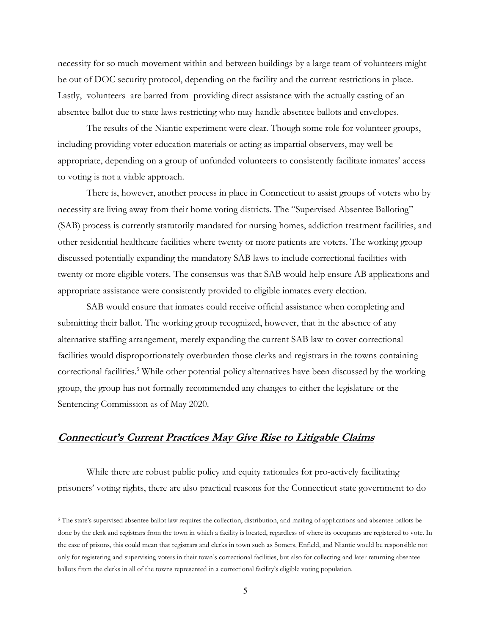necessity for so much movement within and between buildings by a large team of volunteers might be out of DOC security protocol, depending on the facility and the current restrictions in place. Lastly, volunteers are barred from providing direct assistance with the actually casting of an absentee ballot due to state laws restricting who may handle absentee ballots and envelopes.

The results of the Niantic experiment were clear. Though some role for volunteer groups, including providing voter education materials or acting as impartial observers, may well be appropriate, depending on a group of unfunded volunteers to consistently facilitate inmates' access to voting is not a viable approach.

There is, however, another process in place in Connecticut to assist groups of voters who by necessity are living away from their home voting districts. The "Supervised Absentee Balloting" (SAB) process is currently statutorily mandated for nursing homes, addiction treatment facilities, and other residential healthcare facilities where twenty or more patients are voters. The working group discussed potentially expanding the mandatory SAB laws to include correctional facilities with twenty or more eligible voters. The consensus was that SAB would help ensure AB applications and appropriate assistance were consistently provided to eligible inmates every election.

SAB would ensure that inmates could receive official assistance when completing and submitting their ballot. The working group recognized, however, that in the absence of any alternative staffing arrangement, merely expanding the current SAB law to cover correctional facilities would disproportionately overburden those clerks and registrars in the towns containing correctional facilities.<sup>5</sup> While other potential policy alternatives have been discussed by the working group, the group has not formally recommended any changes to either the legislature or the Sentencing Commission as of May 2020.

# **Connecticut's Current Practices May Give Rise to Litigable Claims**

While there are robust public policy and equity rationales for pro-actively facilitating prisoners' voting rights, there are also practical reasons for the Connecticut state government to do

<sup>&</sup>lt;sup>5</sup> The state's supervised absentee ballot law requires the collection, distribution, and mailing of applications and absentee ballots be done by the clerk and registrars from the town in which a facility is located, regardless of where its occupants are registered to vote. In the case of prisons, this could mean that registrars and clerks in town such as Somers, Enfield, and Niantic would be responsible not only for registering and supervising voters in their town's correctional facilities, but also for collecting and later returning absentee ballots from the clerks in all of the towns represented in a correctional facility's eligible voting population.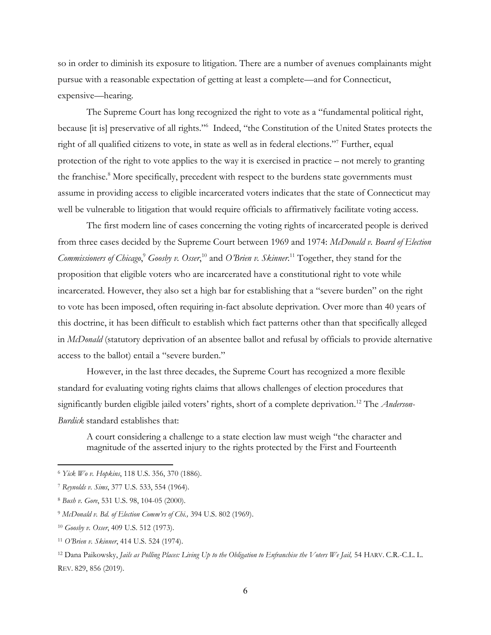so in order to diminish its exposure to litigation. There are a number of avenues complainants might pursue with a reasonable expectation of getting at least a complete—and for Connecticut, expensive—hearing.

The Supreme Court has long recognized the right to vote as a "fundamental political right, because [it is] preservative of all rights."<sup>6</sup> Indeed, "the Constitution of the United States protects the right of all qualified citizens to vote, in state as well as in federal elections."<sup>7</sup> Further, equal protection of the right to vote applies to the way it is exercised in practice  $-$  not merely to granting the franchise.<sup>8</sup> More specifically, precedent with respect to the burdens state governments must assume in providing access to eligible incarcerated voters indicates that the state of Connecticut may well be vulnerable to litigation that would require officials to affirmatively facilitate voting access.

The first modern line of cases concerning the voting rights of incarcerated people is derived from three cases decided by the Supreme Court between 1969 and 1974: *McDonald v. Board of Election*  Commissioners of Chicago,<sup>9</sup> Goosby v. Osser,<sup>10</sup> and *O'Brien v. Skinner*.<sup>11</sup> Together, they stand for the proposition that eligible voters who are incarcerated have a constitutional right to vote while incarcerated. However, they also set a high bar for establishing that a "severe burden" on the right to vote has been imposed, often requiring in-fact absolute deprivation. Over more than 40 years of this doctrine, it has been difficult to establish which fact patterns other than that specifically alleged in *McDonald* (statutory deprivation of an absentee ballot and refusal by officials to provide alternative access to the ballot) entail a "severe burden."

However, in the last three decades, the Supreme Court has recognized a more flexible standard for evaluating voting rights claims that allows challenges of election procedures that significantly burden eligible jailed voters' rights, short of a complete deprivation.<sup>12</sup> The *Anderson*-*Burdick* standard establishes that:

A court considering a challenge to a state election law must weigh "the character and magnitude of the asserted injury to the rights protected by the First and Fourteenth

<sup>6</sup> *Yick Wo v. [Hopkins](https://1.next.westlaw.com/Link/Document/FullText?findType=Y&serNum=1886180012&pubNum=0000780&originatingDoc=I25944b607d2f11e7bb97edaf3db64019&refType=RP&fi=co_pp_sp_780_370&originationContext=document&transitionType=DocumentItem&contextData=(sc.Keycite)#co_pp_sp_780_370)*, 118 U.S. 356, 370 (1886).

<sup>7</sup> *[Reynolds](https://1.next.westlaw.com/Link/Document/FullText?findType=Y&serNum=1964124843&pubNum=0000780&originatingDoc=I25944b607d2f11e7bb97edaf3db64019&refType=RP&fi=co_pp_sp_780_554&originationContext=document&transitionType=DocumentItem&contextData=(sc.Keycite)#co_pp_sp_780_554) v. Sims*, 377 U.S. 533, 554 (1964).

<sup>8</sup> *Bush v. Gore*, 531 U.S. 98, 104-05 (2000).

<sup>&</sup>lt;sup>9</sup> McDonald v. Bd. of Election Comm'rs of Chi., 394 U.S. 802 (1969).

<sup>10</sup> *Goosby v. Osser*, 409 U.S. 512 (1973).

<sup>&</sup>lt;sup>11</sup> *O'Brien v. Skinner*, 414 U.S. 524 (1974).

<sup>&</sup>lt;sup>12</sup> Dana Paikowsky, *Jails as Polling Places: Living Up to the Obligation to Enfranchise the Voters We Jail, 54 HARV. C.R.-C.L. L.* REV. 829, 856 (2019).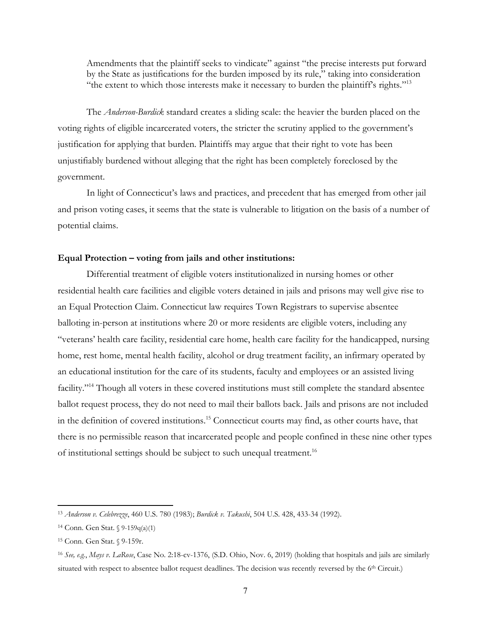Amendments that the plaintiff seeks to vindicate" against "the precise interests put forward by the State as justifications for the burden imposed by its rule," taking into consideration "the extent to which those interests make it necessary to burden the plaintiff's rights."<sup>13</sup>

The *Anderson-Burdick* standard creates a sliding scale: the heavier the burden placed on the voting rights of eligible incarcerated voters, the stricter the scrutiny applied to the government's justification for applying that burden. Plaintiffs may argue that their right to vote has been unjustifiably burdened without alleging that the right has been completely foreclosed by the government.

In light of Connecticut's laws and practices, and precedent that has emerged from other jail and prison voting cases, it seems that the state is vulnerable to litigation on the basis of a number of potential claims.

### Equal Protection – voting from jails and other institutions:

Differential treatment of eligible voters institutionalized in nursing homes or other residential health care facilities and eligible voters detained in jails and prisons may well give rise to an Equal Protection Claim. Connecticut law requires Town Registrars to supervise absentee balloting in-person at institutions where 20 or more residents are eligible voters, including any "veterans' health care facility, residential care home, health care facility for the handicapped, nursing home, rest home, mental health facility, alcohol or drug treatment facility, an infirmary operated by an educational institution for the care of its students, faculty and employees or an assisted living facility."<sup>14</sup> Though all voters in these covered institutions must still complete the standard absentee ballot request process, they do not need to mail their ballots back. Jails and prisons are not included in the definition of covered institutions.<sup>15</sup> Connecticut courts may find, as other courts have, that there is no permissible reason that incarcerated people and people confined in these nine other types of institutional settings should be subject to such unequal treatment.<sup>16</sup>

<sup>13</sup> *Anderson v. Celebrezze*, 460 U.S. 780 (1983); *Burdick v. Takushi*, 504 U.S. 428, 433-34 (1992).

<sup>14</sup> Conn. Gen Stat. § 9-159q(a)(1)

<sup>15</sup> Conn. Gen Stat. § 9-159r.

<sup>16</sup> *See, e.g.*, *Mays v. LaRose*, Case No. 2:18-cv-1376, (S.D. Ohio, Nov. 6, 2019) (holding that hospitals and jails are similarly situated with respect to absentee ballot request deadlines. The decision was recently reversed by the 6<sup>th</sup> Circuit.)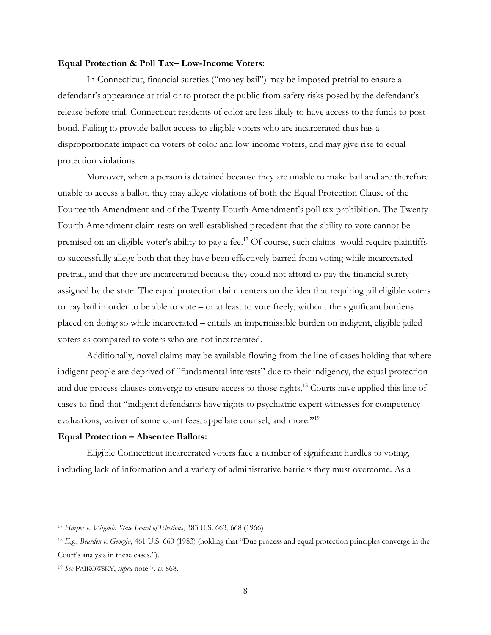#### **Equal Protection & Poll Tax–Low-Income Voters:**

In Connecticut, financial sureties ("money bail") may be imposed pretrial to ensure a defendant's appearance at trial or to protect the public from safety risks posed by the defendant's release before trial. Connecticut residents of color are less likely to have access to the funds to post bond. Failing to provide ballot access to eligible voters who are incarcerated thus has a disproportionate impact on voters of color and low-income voters, and may give rise to equal protection violations.

Moreover, when a person is detained because they are unable to make bail and are therefore unable to access a ballot, they may allege violations of both the Equal Protection Clause of the Fourteenth Amendment and of the Twenty-Fourth Amendment's poll tax prohibition. The Twenty-Fourth Amendment claim rests on well-established precedent that the ability to vote cannot be premised on an eligible voter's ability to pay a fee.<sup>17</sup> Of course, such claims would require plaintiffs to successfully allege both that they have been effectively barred from voting while incarcerated pretrial, and that they are incarcerated because they could not afford to pay the financial surety assigned by the state. The equal protection claim centers on the idea that requiring jail eligible voters to pay bail in order to be able to vote  $-$  or at least to vote freely, without the significant burdens placed on doing so while incarcerated – entails an impermissible burden on indigent, eligible jailed voters as compared to voters who are not incarcerated.

Additionally, novel claims may be available flowing from the line of cases holding that where indigent people are deprived of "fundamental interests" due to their indigency, the equal protection and due process clauses converge to ensure access to those rights.<sup>18</sup> Courts have applied this line of cases to find that "indigent defendants have rights to psychiatric expert witnesses for competency evaluations, waiver of some court fees, appellate counsel, and more."<sup>19</sup>

# **Equal Protection - Absentee Ballots:**

Eligible Connecticut incarcerated voters face a number of significant hurdles to voting, including lack of information and a variety of administrative barriers they must overcome. As a

<sup>17</sup> *Harper v. Virginia State Board of Elections*, 383 U.S. 663, 668 (1966)

<sup>&</sup>lt;sup>18</sup> E.g., *Bearden v. Georgia*, 461 U.S. 660 (1983) (holding that "Due process and equal protection principles converge in the Court's analysis in these cases.").

<sup>19</sup> *See* PAIKOWSKY, *supra* note 7, at 868.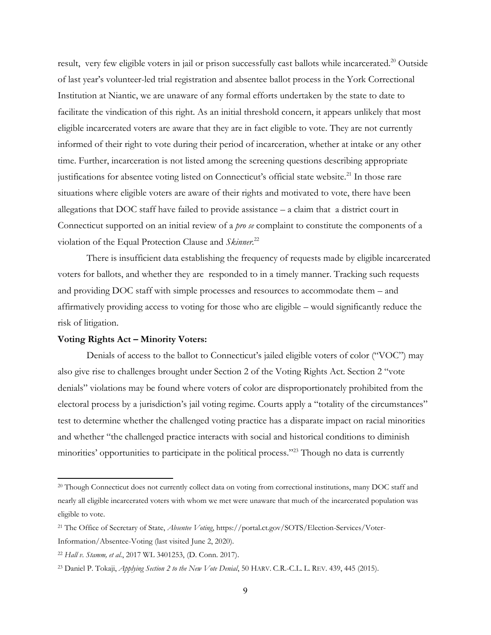result, very few eligible voters in jail or prison successfully cast ballots while incarcerated.<sup>20</sup> Outside of last year's volunteer-led trial registration and absentee ballot process in the York Correctional Institution at Niantic, we are unaware of any formal efforts undertaken by the state to date to facilitate the vindication of this right. As an initial threshold concern, it appears unlikely that most eligible incarcerated voters are aware that they are in fact eligible to vote. They are not currently informed of their right to vote during their period of incarceration, whether at intake or any other time. Further, incarceration is not listed among the screening questions describing appropriate justifications for absentee voting listed on Connecticut's official state website.<sup>21</sup> In those rare situations where eligible voters are aware of their rights and motivated to vote, there have been allegations that DOC staff have failed to provide assistance  $-$  a claim that a district court in Connecticut supported on an initial review of a *pro se* complaint to constitute the components of a violation of the Equal Protection Clause and *Skinner*. 22

There is insufficient data establishing the frequency of requests made by eligible incarcerated voters for ballots, and whether they are responded to in a timely manner. Tracking such requests and providing DOC staff with simple processes and resources to accommodate them - and affirmatively providing access to voting for those who are eligible – would significantly reduce the risk of litigation.

# Voting Rights Act – Minority Voters:

Denials of access to the ballot to Connecticut's jailed eligible voters of color ("VOC") may also give rise to challenges brought under Section 2 of the Voting Rights Act. Section 2 "vote denials" violations may be found where voters of color are disproportionately prohibited from the electoral process by a jurisdiction's jail voting regime. Courts apply a "totality of the circumstances" test to determine whether the challenged voting practice has a disparate impact on racial minorities and whether "the challenged practice interacts with social and historical conditions to diminish minorities' opportunities to participate in the political process."<sup>23</sup> Though no data is currently

<sup>20</sup> Though Connecticut does not currently collect data on voting from correctional institutions, many DOC staff and nearly all eligible incarcerated voters with whom we met were unaware that much of the incarcerated population was eligible to vote.

<sup>21</sup> The Office of Secretary of State, *Absentee Voting*, [https://portal.ct.gov/SOTS/Election-Services/Voter-](https://portal.ct.gov/SOTS/Election-Services/Voter-Information/Absentee-Voting)[Information/Absentee-Voting](https://portal.ct.gov/SOTS/Election-Services/Voter-Information/Absentee-Voting) (last visited June 2, 2020).

<sup>22</sup> *Hall v. Stamm, et al.*, 2017 WL 3401253, (D. Conn. 2017).

<sup>23</sup> Daniel P. Tokaji, *Applying Section 2 to the New Vote Denial*, 50 HARV. C.R.-C.L. L. REV. 439, 445 (2015).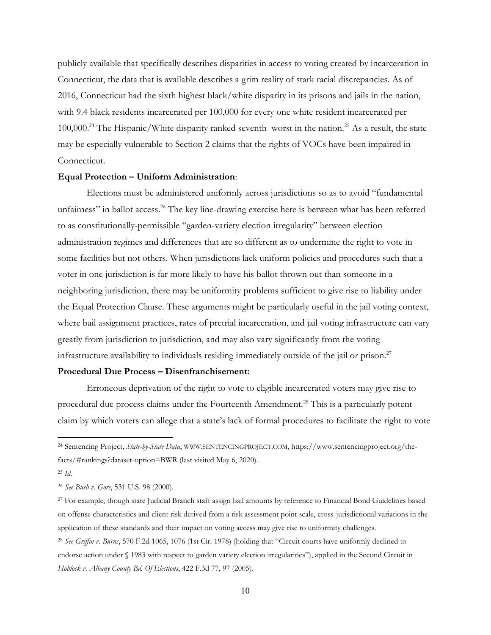publicly available that specifically describes disparities in access to voting created by incarceration in Connecticut, the data that is available describes a grim reality of stark racial discrepancies. As of 2016, Connecticut had the sixth highest black/white disparity in its prisons and jails in the nation, with 9.4 black residents incarcerated per 100,000 for every one white resident incarcerated per 100,000.<sup>24</sup> The Hispanic/White disparity ranked seventh worst in the nation.<sup>25</sup> As a result, the state may be especially vulnerable to Section 2 claims that the rights of VOCs have been impaired in Connecticut.

# **Equal Protection – Uniform Administration:**

Elections must be administered uniformly across jurisdictions so as to avoid "fundamental unfairness" in ballot access.<sup>26</sup> The key line-drawing exercise here is between what has been referred to as constitutionally-permissible "garden-variety election irregularity" between election administration regimes and differences that are so different as to undermine the right to vote in some facilities but not others. When jurisdictions lack uniform policies and procedures such that a voter in one jurisdiction is far more likely to have his ballot thrown out than someone in a neighboring jurisdiction, there may be uniformity problems sufficient to give rise to liability under the Equal Protection Clause. These arguments might be particularly useful in the jail voting context, where bail assignment practices, rates of pretrial incarceration, and jail voting infrastructure can vary greatly from jurisdiction to jurisdiction, and may also vary significantly from the voting infrastructure availability to individuals residing immediately outside of the jail or prison.<sup>27</sup>

# **Procedural Due Process – Disenfranchisement:**

Erroneous deprivation of the right to vote to eligible incarcerated voters may give rise to procedural due process claims under the Fourteenth Amendment.28 This is a particularly potent claim by which voters can allege that a state's lack of formal procedures to facilitate the right to vote

<sup>24</sup> Sentencing Project, *State-by-State Data*, WWW.SENTENCINGPROJECT.COM, https://www.sentencingproject.org/thefacts/#rankings?dataset-option=BWR (last visited May 6, 2020).

<sup>25</sup> *Id*.

<sup>26</sup> *See Bush v. Gore*, 531 U.S. 98 (2000).

<sup>27</sup> For example, though state Judicial Branch staff assign bail amounts by reference to Financial Bond Guidelines based on offense characteristics and client risk derived from a risk assessment point scale, cross-jurisdictional variations in the application of these standards and their impact on voting access may give rise to uniformity challenges.

<sup>&</sup>lt;sup>28</sup> See Griffin v. Burns, 570 F.2d 1065, 1076 (1st Cir. 1978) (holding that "Circuit courts have uniformly declined to endorse action under § 1983 with respect to garden variety election irregularities"), applied in the Second Circuit in *Hoblock v. Albany County Bd. Of Elections*, 422 F.3d 77, 97 (2005).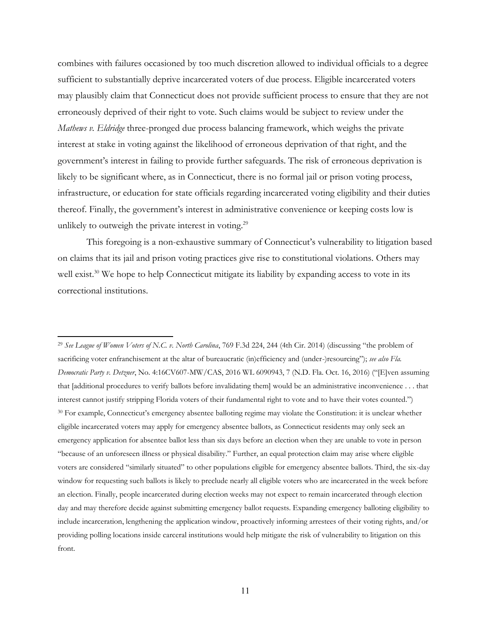combines with failures occasioned by too much discretion allowed to individual officials to a degree sufficient to substantially deprive incarcerated voters of due process. Eligible incarcerated voters may plausibly claim that Connecticut does not provide sufficient process to ensure that they are not erroneously deprived of their right to vote. Such claims would be subject to review under the *Mathews v. Eldridge* three-pronged due process balancing framework, which weighs the private interest at stake in voting against the likelihood of erroneous deprivation of that right, and the government's interest in failing to provide further safeguards. The risk of erroneous deprivation is likely to be significant where, as in Connecticut, there is no formal jail or prison voting process, infrastructure, or education for state officials regarding incarcerated voting eligibility and their duties thereof. Finally, the government's interest in administrative convenience or keeping costs low is unlikely to outweigh the private interest in voting.<sup>29</sup>

This foregoing is a non-exhaustive summary of Connecticut's vulnerability to litigation based on claims that its jail and prison voting practices give rise to constitutional violations. Others may well exist.<sup>30</sup> We hope to help Connecticut mitigate its liability by expanding access to vote in its correctional institutions.

<sup>&</sup>lt;sup>29</sup> See League of Women Voters of N.C. v. North Carolina, 769 F.3d 224, 244 (4th Cir. 2014) (discussing "the problem of sacrificing voter enfranchisement at the altar of bureaucratic (in)efficiency and (under-)resourcing"); see also Fla. *Democratic Party v. Detzner*, No. 4:16CV607-MW/CAS, 2016 WL 6090943, 7 (N.D. Fla. Oct. 16, 2016) ("Elven assuming that [additional procedures to verify ballots before invalidating them] would be an administrative inconvenience . . . that interest cannot justify stripping Florida voters of their fundamental right to vote and to have their votes counted.") 30 For example, Connecticut's emergency absentee balloting regime may violate the Constitution: it is unclear whether eligible incarcerated voters may apply for emergency absentee ballots, as Connecticut residents may only seek an emergency application for absentee ballot less than six days before an election when they are unable to vote in person "because of an unforeseen illness or physical disability." Further, an equal protection claim may arise where eligible voters are considered "similarly situated" to other populations eligible for emergency absentee ballots. Third, the six-day window for requesting such ballots is likely to preclude nearly all eligible voters who are incarcerated in the week before an election. Finally, people incarcerated during election weeks may not expect to remain incarcerated through election day and may therefore decide against submitting emergency ballot requests. Expanding emergency balloting eligibility to include incarceration, lengthening the application window, proactively informing arrestees of their voting rights, and/or providing polling locations inside carceral institutions would help mitigate the risk of vulnerability to litigation on this front.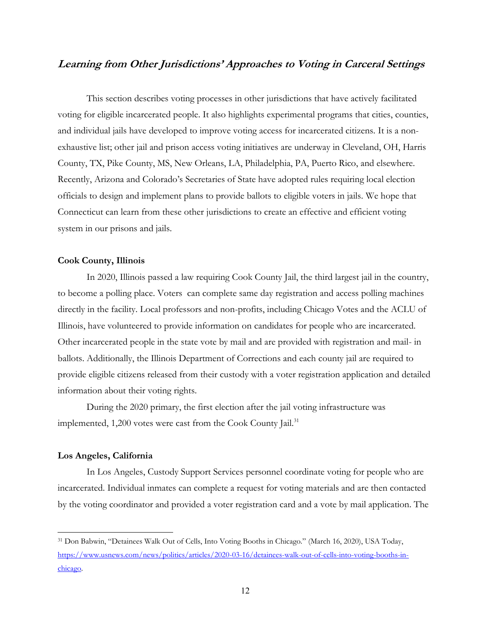# **Learning from Other Jurisdictions' Approaches to Voting in Carceral Settings**

This section describes voting processes in other jurisdictions that have actively facilitated voting for eligible incarcerated people. It also highlights experimental programs that cities, counties, and individual jails have developed to improve voting access for incarcerated citizens. It is a nonexhaustive list; other jail and prison access voting initiatives are underway in Cleveland, OH, Harris County, TX, Pike County, MS, New Orleans, LA, Philadelphia, PA, Puerto Rico, and elsewhere. Recently, Arizona and Colorado's Secretaries of State have adopted rules requiring local election officials to design and implement plans to provide ballots to eligible voters in jails. We hope that Connecticut can learn from these other jurisdictions to create an effective and efficient voting system in our prisons and jails.

## **Cook County, Illinois**

In 2020, Illinois passed a law requiring Cook County Jail, the third largest jail in the country, to become a polling place. Voters can complete same day registration and access polling machines directly in the facility. Local professors and non-profits, including Chicago Votes and the ACLU of Illinois, have volunteered to provide information on candidates for people who are incarcerated. Other incarcerated people in the state vote by mail and are provided with registration and mail- in ballots. Additionally, the Illinois Department of Corrections and each county jail are required to provide eligible citizens released from their custody with a voter registration application and detailed information about their voting rights.

During the 2020 primary, the first election after the jail voting infrastructure was implemented, 1,200 votes were cast from the Cook County Jail.<sup>31</sup>

#### **Los Angeles, California**

In Los Angeles, Custody Support Services personnel coordinate voting for people who are incarcerated. Individual inmates can complete a request for voting materials and are then contacted by the voting coordinator and provided a voter registration card and a vote by mail application. The

<sup>&</sup>lt;sup>31</sup> Don Babwin, "Detainees Walk Out of Cells, Into Voting Booths in Chicago." (March 16, 2020), USA Today, [https://www.usnews.com/news/politics/articles/2020-03-16/detainees-walk-out-of-cells-into-voting-booths-in](https://www.usnews.com/news/politics/articles/2020-03-16/detainees-walk-out-of-cells-into-voting-booths-in-chicago)[chicago.](https://www.usnews.com/news/politics/articles/2020-03-16/detainees-walk-out-of-cells-into-voting-booths-in-chicago)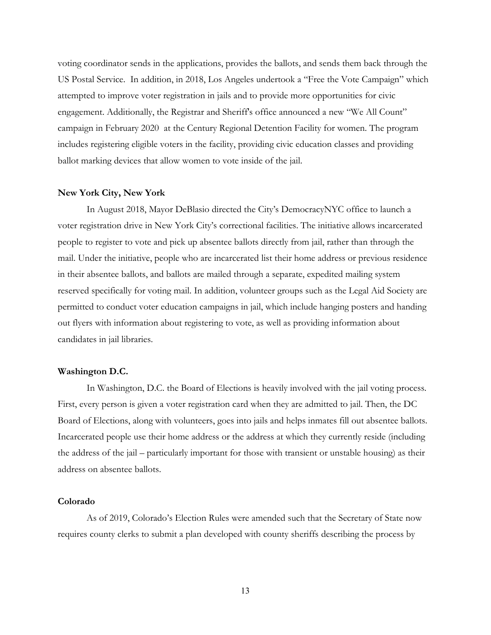voting coordinator sends in the applications, provides the ballots, and sends them back through the US Postal Service. In addition, in 2018, Los Angeles undertook a "Free the Vote Campaign" which attempted to improve voter registration in jails and to provide more opportunities for civic engagement. Additionally, the Registrar and Sheriff's office announced a new "We All Count" campaign in February 2020 at the Century Regional Detention Facility for women. The program includes registering eligible voters in the facility, providing civic education classes and providing ballot marking devices that allow women to vote inside of the jail.

#### **New York City, New York**

In August 2018, Mayor DeBlasio directed the City's DemocracyNYC office to launch a voter registration drive in New York City's correctional facilities. The initiative allows incarcerated people to register to vote and pick up absentee ballots directly from jail, rather than through the mail. Under the initiative, people who are incarcerated list their home address or previous residence in their absentee ballots, and ballots are mailed through a separate, expedited mailing system reserved specifically for voting mail. In addition, volunteer groups such as the Legal Aid Society are permitted to conduct voter education campaigns in jail, which include hanging posters and handing out flyers with information about registering to vote, as well as providing information about candidates in jail libraries.

### **Washington D.C.**

In Washington, D.C. the Board of Elections is heavily involved with the jail voting process. First, every person is given a voter registration card when they are admitted to jail. Then, the DC Board of Elections, along with volunteers, goes into jails and helps inmates fill out absentee ballots. Incarcerated people use their home address or the address at which they currently reside (including the address of the jail – particularly important for those with transient or unstable housing) as their address on absentee ballots.

### **Colorado**

As of 2019, Colorado's Election Rules were amended such that the Secretary of State now requires county clerks to submit a plan developed with county sheriffs describing the process by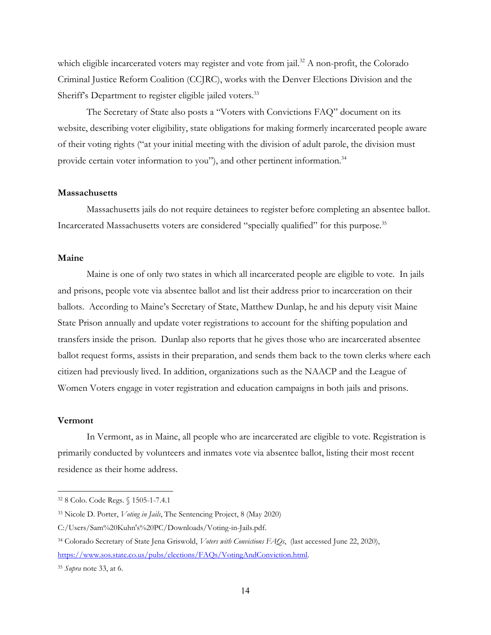which eligible incarcerated voters may register and vote from jail.<sup>32</sup> A non-profit, the Colorado Criminal Justice Reform Coalition (CCJRC), works with the Denver Elections Division and the Sheriff's Department to register eligible jailed voters.<sup>33</sup>

The Secretary of State also posts a "Voters with Convictions FAQ" document on its website, describing voter eligibility, state obligations for making formerly incarcerated people aware of their voting rights (´at your initial meeting with the division of adult parole, the division must provide certain voter information to you"), and other pertinent information.<sup>34</sup>

#### **Massachusetts**

Massachusetts jails do not require detainees to register before completing an absentee ballot. Incarcerated Massachusetts voters are considered "specially qualified" for this purpose.<sup>35</sup>

### **Maine**

Maine is one of only two states in which all incarcerated people are eligible to vote. In jails and prisons, people vote via absentee ballot and list their address prior to incarceration on their ballots. According to Maine's Secretary of State, Matthew Dunlap, he and his deputy visit Maine State Prison annually and update voter registrations to account for the shifting population and transfers inside the prison. Dunlap also reports that he gives those who are incarcerated absentee ballot request forms, assists in their preparation, and sends them back to the town clerks where each citizen had previously lived. In addition, organizations such as the NAACP and the League of Women Voters engage in voter registration and education campaigns in both jails and prisons.

## **Vermont**

In Vermont, as in Maine, all people who are incarcerated are eligible to vote. Registration is primarily conducted by volunteers and inmates vote via absentee ballot, listing their most recent residence as their home address.

<sup>32</sup> 8 Colo. Code Regs. § 1505-1-7.4.1

<sup>33</sup> Nicole D. Porter, *Voting in Jails*, The Sentencing Project, 8 (May 2020)

C:/Users/Sam%20Kuhn's%20PC/Downloads/Voting-in-Jails.pdf.

<sup>34</sup> Colorado Secretary of State Jena Griswold, *Voters with Convictions FAQs*, (last accessed June 22, 2020), [https://www.sos.state.co.us/pubs/elections/FAQs/VotingAndConviction.html.](https://www.sos.state.co.us/pubs/elections/FAQs/VotingAndConviction.html)

<sup>35</sup> *Supra* note 33, at 6.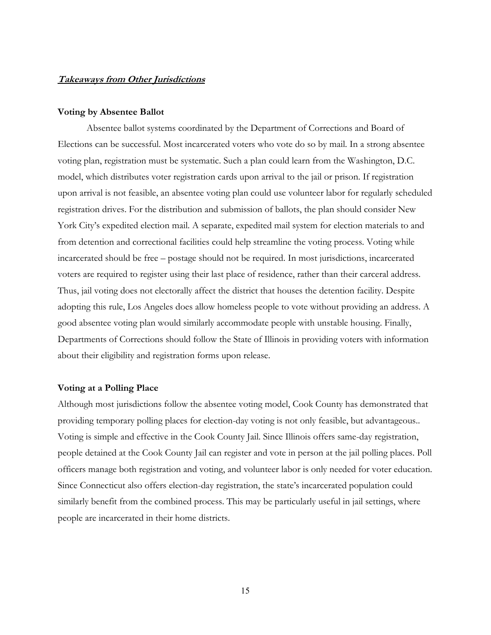# **Takeaways from Other Jurisdictions**

#### **Voting by Absentee Ballot**

Absentee ballot systems coordinated by the Department of Corrections and Board of Elections can be successful. Most incarcerated voters who vote do so by mail. In a strong absentee voting plan, registration must be systematic. Such a plan could learn from the Washington, D.C. model, which distributes voter registration cards upon arrival to the jail or prison. If registration upon arrival is not feasible, an absentee voting plan could use volunteer labor for regularly scheduled registration drives. For the distribution and submission of ballots, the plan should consider New York City's expedited election mail. A separate, expedited mail system for election materials to and from detention and correctional facilities could help streamline the voting process. Voting while incarcerated should be free – postage should not be required. In most jurisdictions, incarcerated voters are required to register using their last place of residence, rather than their carceral address. Thus, jail voting does not electorally affect the district that houses the detention facility. Despite adopting this rule, Los Angeles does allow homeless people to vote without providing an address. A good absentee voting plan would similarly accommodate people with unstable housing. Finally, Departments of Corrections should follow the State of Illinois in providing voters with information about their eligibility and registration forms upon release.

# **Voting at a Polling Place**

Although most jurisdictions follow the absentee voting model, Cook County has demonstrated that providing temporary polling places for election-day voting is not only feasible, but advantageous.. Voting is simple and effective in the Cook County Jail. Since Illinois offers same-day registration, people detained at the Cook County Jail can register and vote in person at the jail polling places. Poll officers manage both registration and voting, and volunteer labor is only needed for voter education. Since Connecticut also offers election-day registration, the state's incarcerated population could similarly benefit from the combined process. This may be particularly useful in jail settings, where people are incarcerated in their home districts.

15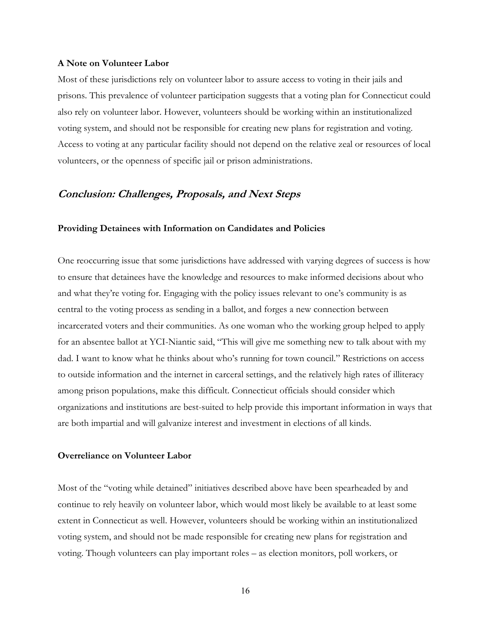#### **A Note on Volunteer Labor**

Most of these jurisdictions rely on volunteer labor to assure access to voting in their jails and prisons. This prevalence of volunteer participation suggests that a voting plan for Connecticut could also rely on volunteer labor. However, volunteers should be working within an institutionalized voting system, and should not be responsible for creating new plans for registration and voting. Access to voting at any particular facility should not depend on the relative zeal or resources of local volunteers, or the openness of specific jail or prison administrations.

# **Conclusion: Challenges, Proposals, and Next Steps**

#### **Providing Detainees with Information on Candidates and Policies**

One reoccurring issue that some jurisdictions have addressed with varying degrees of success is how to ensure that detainees have the knowledge and resources to make informed decisions about who and what they're voting for. Engaging with the policy issues relevant to one's community is as central to the voting process as sending in a ballot, and forges a new connection between incarcerated voters and their communities. As one woman who the working group helped to apply for an absentee ballot at YCI-Niantic said, "This will give me something new to talk about with my dad. I want to know what he thinks about who's running for town council." Restrictions on access to outside information and the internet in carceral settings, and the relatively high rates of illiteracy among prison populations, make this difficult. Connecticut officials should consider which organizations and institutions are best-suited to help provide this important information in ways that are both impartial and will galvanize interest and investment in elections of all kinds.

# **Overreliance on Volunteer Labor**

Most of the "voting while detained" initiatives described above have been spearheaded by and continue to rely heavily on volunteer labor, which would most likely be available to at least some extent in Connecticut as well. However, volunteers should be working within an institutionalized voting system, and should not be made responsible for creating new plans for registration and voting. Though volunteers can play important roles – as election monitors, poll workers, or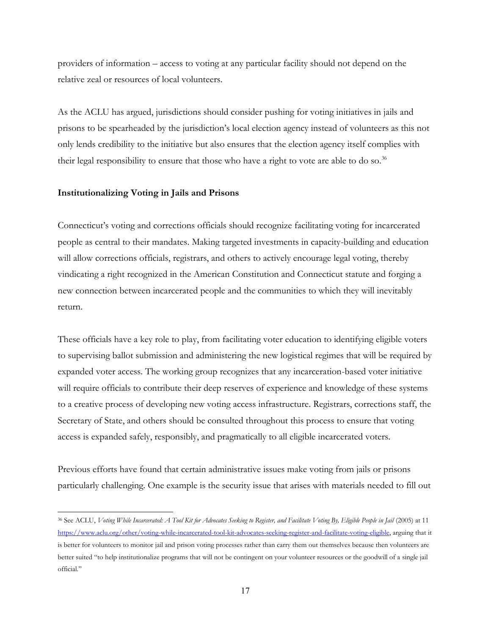providers of information – access to voting at any particular facility should not depend on the relative zeal or resources of local volunteers.

As the ACLU has argued, jurisdictions should consider pushing for voting initiatives in jails and prisons to be spearheaded by the jurisdiction's local election agency instead of volunteers as this not only lends credibility to the initiative but also ensures that the election agency itself complies with their legal responsibility to ensure that those who have a right to vote are able to do so.<sup>36</sup>

### **Institutionalizing Voting in Jails and Prisons**

Connecticut's voting and corrections officials should recognize facilitating voting for incarcerated people as central to their mandates. Making targeted investments in capacity-building and education will allow corrections officials, registrars, and others to actively encourage legal voting, thereby vindicating a right recognized in the American Constitution and Connecticut statute and forging a new connection between incarcerated people and the communities to which they will inevitably return.

These officials have a key role to play, from facilitating voter education to identifying eligible voters to supervising ballot submission and administering the new logistical regimes that will be required by expanded voter access. The working group recognizes that any incarceration-based voter initiative will require officials to contribute their deep reserves of experience and knowledge of these systems to a creative process of developing new voting access infrastructure. Registrars, corrections staff, the Secretary of State, and others should be consulted throughout this process to ensure that voting access is expanded safely, responsibly, and pragmatically to all eligible incarcerated voters.

Previous efforts have found that certain administrative issues make voting from jails or prisons particularly challenging. One example is the security issue that arises with materials needed to fill out

<sup>36</sup> See ACLU, *Voting While Incarcerated: A Tool Kit for Advocates Seeking to Register, and Facilitate Voting By, Eligible People in Jail* (2005) at 11 [https://www.aclu.org/other/voting-while-incarcerated-tool-kit-advocates-seeking-register-and-facilitate-voting-eligible,](https://www.aclu.org/other/voting-while-incarcerated-tool-kit-advocates-seeking-register-and-facilitate-voting-eligible) arguing that it is better for volunteers to monitor jail and prison voting processes rather than carry them out themselves because then volunteers are better suited "to help institutionalize programs that will not be contingent on your volunteer resources or the goodwill of a single jail official."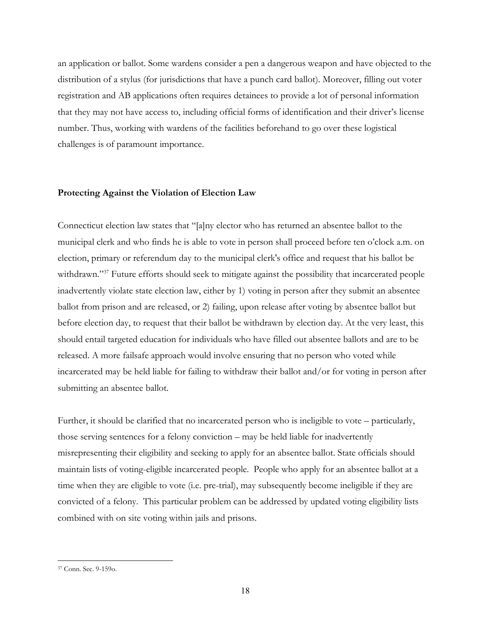an application or ballot. Some wardens consider a pen a dangerous weapon and have objected to the distribution of a stylus (for jurisdictions that have a punch card ballot). Moreover, filling out voter registration and AB applications often requires detainees to provide a lot of personal information that they may not have access to, including official forms of identification and their driver's license number. Thus, working with wardens of the facilities beforehand to go over these logistical challenges is of paramount importance.

#### **Protecting Against the Violation of Election Law**

Connecticut election law states that "[a]ny elector who has returned an absentee ballot to the municipal clerk and who finds he is able to vote in person shall proceed before ten o'clock a.m. on election, primary or referendum day to the municipal clerk's office and request that his ballot be withdrawn."<sup>37</sup> Future efforts should seek to mitigate against the possibility that incarcerated people inadvertently violate state election law, either by 1) voting in person after they submit an absentee ballot from prison and are released, or 2) failing, upon release after voting by absentee ballot but before election day, to request that their ballot be withdrawn by election day. At the very least, this should entail targeted education for individuals who have filled out absentee ballots and are to be released. A more failsafe approach would involve ensuring that no person who voted while incarcerated may be held liable for failing to withdraw their ballot and/or for voting in person after submitting an absentee ballot.

Further, it should be clarified that no incarcerated person who is ineligible to vote  $-$  particularly, those serving sentences for a felony conviction  $-$  may be held liable for inadvertently misrepresenting their eligibility and seeking to apply for an absentee ballot. State officials should maintain lists of voting-eligible incarcerated people. People who apply for an absentee ballot at a time when they are eligible to vote (i.e. pre-trial), may subsequently become ineligible if they are convicted of a felony. This particular problem can be addressed by updated voting eligibility lists combined with on site voting within jails and prisons.

<sup>37</sup> Conn. Sec. 9-159o.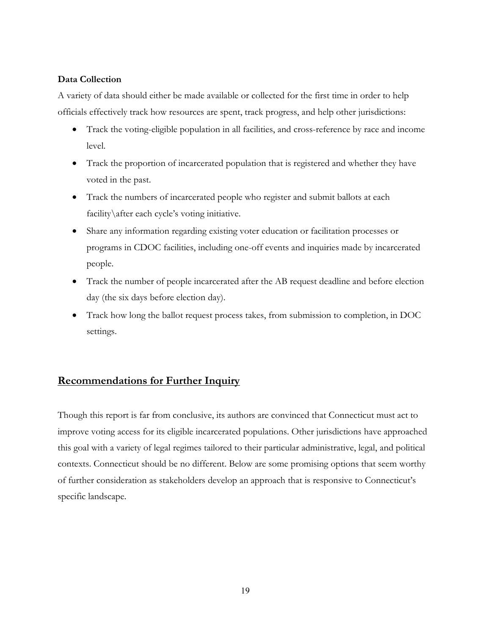# **Data Collection**

A variety of data should either be made available or collected for the first time in order to help officials effectively track how resources are spent, track progress, and help other jurisdictions:

- Track the voting-eligible population in all facilities, and cross-reference by race and income level.
- Track the proportion of incarcerated population that is registered and whether they have voted in the past.
- Track the numbers of incarcerated people who register and submit ballots at each facility $\after$  each cycle's voting initiative.
- Share any information regarding existing voter education or facilitation processes or programs in CDOC facilities, including one-off events and inquiries made by incarcerated people.
- Track the number of people incarcerated after the AB request deadline and before election day (the six days before election day).
- x Track how long the ballot request process takes, from submission to completion, in DOC settings.

# **Recommendations for Further Inquiry**

Though this report is far from conclusive, its authors are convinced that Connecticut must act to improve voting access for its eligible incarcerated populations. Other jurisdictions have approached this goal with a variety of legal regimes tailored to their particular administrative, legal, and political contexts. Connecticut should be no different. Below are some promising options that seem worthy of further consideration as stakeholders develop an approach that is responsive to Connecticut's specific landscape.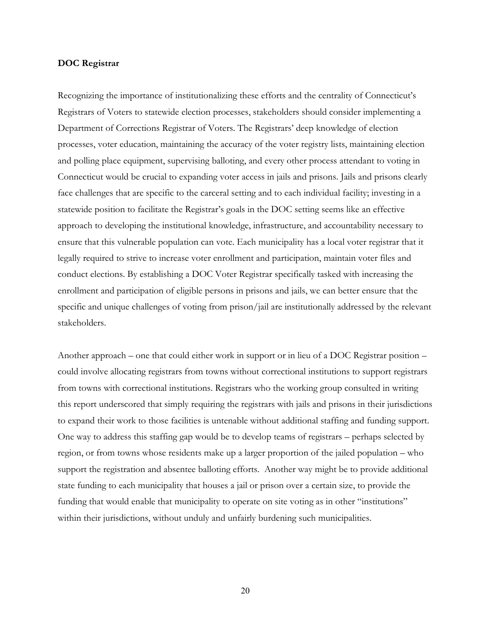#### **DOC Registrar**

Recognizing the importance of institutionalizing these efforts and the centrality of Connecticut's Registrars of Voters to statewide election processes, stakeholders should consider implementing a Department of Corrections Registrar of Voters. The Registrars' deep knowledge of election processes, voter education, maintaining the accuracy of the voter registry lists, maintaining election and polling place equipment, supervising balloting, and every other process attendant to voting in Connecticut would be crucial to expanding voter access in jails and prisons. Jails and prisons clearly face challenges that are specific to the carceral setting and to each individual facility; investing in a statewide position to facilitate the Registrar's goals in the DOC setting seems like an effective approach to developing the institutional knowledge, infrastructure, and accountability necessary to ensure that this vulnerable population can vote. Each municipality has a local voter registrar that it legally required to strive to increase voter enrollment and participation, maintain voter files and conduct elections. By establishing a DOC Voter Registrar specifically tasked with increasing the enrollment and participation of eligible persons in prisons and jails, we can better ensure that the specific and unique challenges of voting from prison/jail are institutionally addressed by the relevant stakeholders.

Another approach – one that could either work in support or in lieu of a DOC Registrar position – could involve allocating registrars from towns without correctional institutions to support registrars from towns with correctional institutions. Registrars who the working group consulted in writing this report underscored that simply requiring the registrars with jails and prisons in their jurisdictions to expand their work to those facilities is untenable without additional staffing and funding support. One way to address this staffing gap would be to develop teams of registrars – perhaps selected by region, or from towns whose residents make up a larger proportion of the jailed population – who support the registration and absentee balloting efforts. Another way might be to provide additional state funding to each municipality that houses a jail or prison over a certain size, to provide the funding that would enable that municipality to operate on site voting as in other "institutions" within their jurisdictions, without unduly and unfairly burdening such municipalities.